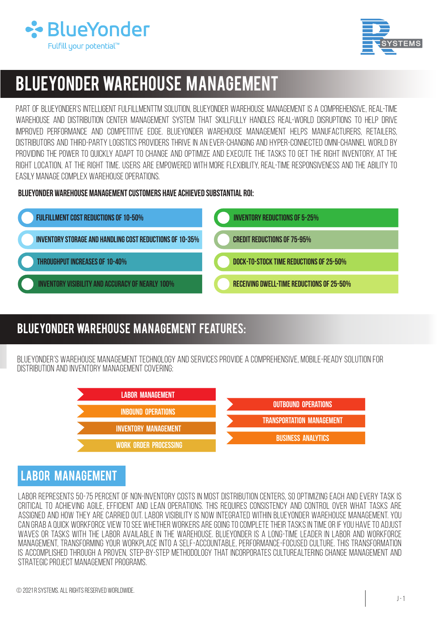



# BLUEYONDER Warehouse Management

Part of BLUEYONDER's Intelligent FulfillmentTM solution, BLUEYONDER Warehouse Management is a comprehensive, real-time warehouse and distribution center management system that skillfully handles real-world disruptions to help drive improved performance and competitive edge. BLUEYONDER Warehouse Management helps manufacturers, retailers, distributors and third-party logistics providers thrive in an ever-changing and hyper-connected omni-channel world by providing the power to quickly adapt to change and optimize and execute the tasks to get the right inventory, at the right location, at the right time. Users are empowered with more flexibility, real-time responsiveness and the ability to easily manage complex warehouse operations.

BLUEYONDER WAREHOUSE MANAGEMENT CUSTOMERS HAVE ACHIEVED SUBSTANTIAL ROI:



# BLUEYONDER warehouse Management Features:

BLUEYONDER's Warehouse Management technology andservices provide a comprehensive, mobile-ready solution for distribution and inventory management covering:



# Labor Management

Labor represents 50-75 percent of non-inventory costs in most distribution centers, so optimizing each and every task is critical to achieving agile, efficient and lean operations. This requires consistency and control over what tasks are assigned and how they are carried out. Labor visibility is now integrated within BLUEYONDER Warehouse Management. You CAN GRAB A QUICK WORKFORCE VIEW TO SEE WHETHER WORKERS ARE GOING TO COMPLETE THEIR TASKS IN TIME OR IF YOU HAVE TO ADJUST waves or tasks with the labor available in the warehouse. BLUEYONDER is a long-time leader in labor and workforce management, transforming your workplace into a self-accountable, performance-focused culture. This transformation is accomplished through a proven, step-by-step methodology that incorporates culturealtering change management and STRATEGIC PROJECT MANAGEMENT PROGRAMS.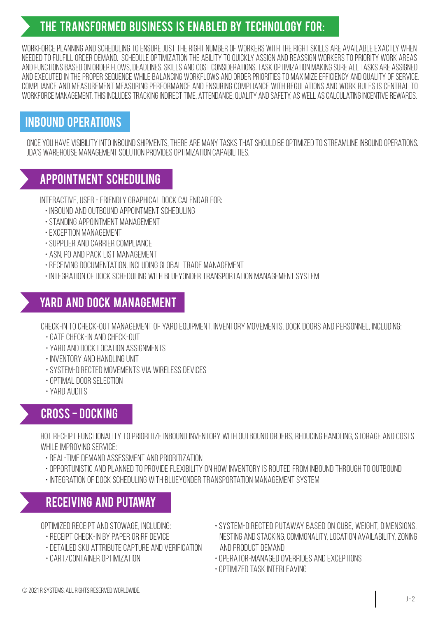# The transformed business is enabled by technology for:

Workforce planning and scheduling To ensure just the right number of workers with the right skills are available exactly when needed to fulfill order demand. Schedule optimization The ability to quickly assign and reassign workers to priority work areas and functionsbased onorder flows,deadlines, skills and costconsiderations. Task optimization Making sure all tasks are assigned andexecuted in the proper sequence whilebalancing workflows andorder priorities to maximize efficiency and quality of service. Compliance and measurement Measuring performance and ensuring compliance with regulations and work rules is central to WORKFORCE MANAGEMENT. THIS INCLUDES TRACKING INDIRECT TIME, ATTENDANCE, QUALITY AND SAFETY, AS WELL AS CALCULATING INCENTIVE REWARDS.

## Inbound Operations

ONCE YOU HAVE VISIBILITY INTO INBOUND SHIPMENTS, THERE ARE MANY TASKS THAT SHOULD BE OPTIMIZED TO STREAMLINE INBOUND OPERATIONS. JDA's Warehouse Management solution provides optimization capabilities.

# Appointment scheduling

Interactive, user- friendly graphicaldock calendar for:

- Inbound and outbound appointment scheduling
- Standing appointment management
- Exception management
- Supplier and carrier compliance
- ASN, PO and pack list management
- RECEIVING DOCUMENTATION, INCLUDING GLOBAL TRADE MANAGEMENT
- INTEGRATION OF DOCK SCHEDULING WITH BLUEYONDER TRANSPORTATION MANAGEMENT SYSTEM

# Yard and dock management

Check-in to check-out management of yard equipment, inventory movements, dock doors andpersonnel, including:

- Gate check-in and check-out
- Yard and dock location assignments
- INVENTORY AND HANDLING UNIT
- System-directed movements via wireless devices
- Optimal door selection
- Yard audits

# Cross - docking

Hot receipt functionality toprioritize inboundinventory with outboundorders,reducing handling, storage and costs while improving service:

- •Real-time demand assessment and prioritization
- OPPORTUNISTIC AND PLANNED TO PROVIDE FLEXIBILITY ON HOW INVENTORY IS ROUTED FROM INBOUND THROUGH TO OUTBOUND
- INTEGRATION OF DOCK SCHEDULING WITH BLUEYONDER TRANSPORTATION MANAGEMENT SYSTEM

## Receiving and putaway

OPTIMIZED RECEIPT AND STOWAGE, INCLUDING:

- $\cdot$  RECEIPT CHECK-IN BY PAPER OR RE DEVICE
- Detailed SKU attribute capture and verification
- Cart/container optimization
- System-directed putaway based on cube, weight, dimensions, nesting and stacking,commonality, location availability,zoning and product demand
- Operator-managed overrides and exceptions
- Optimized task interleaving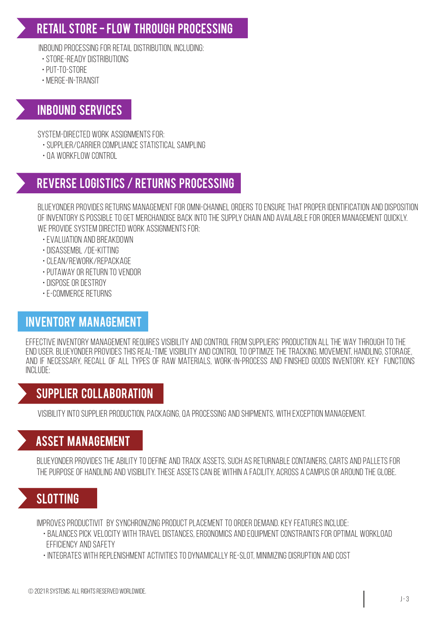# Retail store - flow through processing

INBOUND PROCESSING FOR RETAIL DISTRIBUTION, INCLUDING:

- Store-ready distributions
- PUT-TO-STORE
- Merge-in-transit

## Inbound services

System-directed work assignments for:

- Supplier/carrier compliance statistical sampling
- QA workflow control

# Reverse logistics / returns processing

BLUEYONDER provides returns management for omni-channel orders toensure that proper identification and disposition of inventory is possible to get merchandise back into the supply chain and available fororder managementquickly. WE PROVIDE SYSTEM DIRECTED WORK ASSIGNMENTS FOR:

- Evaluation and breakdown
- Disassembl /de-kitting
- Clean/rework/repackage
- PUTAWAY OR RETURN TO VENDOR
- Dispose or destroy
- E-commerce returns

# Inventory management

EFFECTIVE INVENTORY MANAGEMENT REQUIRES VISIBILITY AND CONTROL FROM SUPPLIERS' PRODUCTION ALL THE WAY THROUGH TO THE end user. BLUEYONDER provides thisreal-time visibility and control to optimize the tracking, movement,handling, storage, and if necessary, recall of all types of raw materials, work-in-process and finished goods inventory. Key functions include:

## Supplier collaboration

Visibility into supplier production, packaging, QA processing and shipments, with exception management.

# Asset management

BLUEYONDER provides the ability todefine and track assets, such as returnable containers, carts and pallets for The purpose of handling and visibility. These assets canbe within a facility, across a campus or around the globe.

# **SLOTTING**

Improves productivit by synchronizing product placement to order demand. Key features include:

- •Balances pick velocity with travel distances, ergonomics and equipment constraints for optimal workload efficiency andsafety
- Integrates withreplenishment activities to dynamically re-slot, minimizing disruption and cost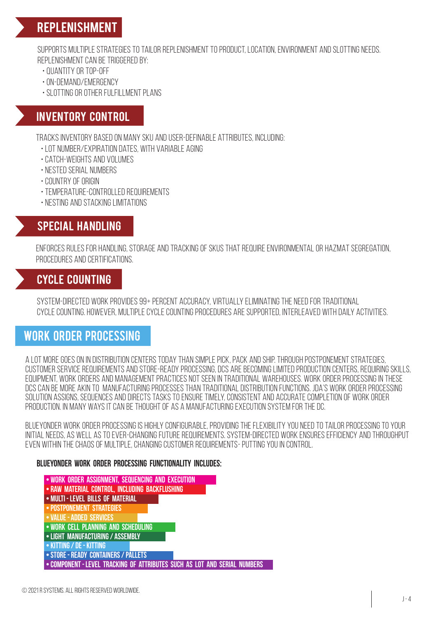# Replenishment

SUPPORTS MULTIPLE STRATEGIES TO TAILOR REPLENISHMENT TO PRODUCT. LOCATION, ENVIRONMENT AND SLOTTING NEEDS. REPLENISHMENT CAN BE TRIGGERED BY:

- Quantity or top-off
- On-demand/emergency
- Slotting or other fulfillment plans

## Inventory control

Tracks inventory based on many SKU and user-definable attributes, including:

- Lot number/expiration dates, with variable aging
- Catch-weights and volumes
- $\cdot$  NESTED SERIAL NUMBERS
- Country of origin
- Temperature-controlled requirements
- •Nesting and stacking limitations

#### Special handling

ENFORCES RULES FOR HANDLING, STORAGE AND TRACKING OF SKUS THAT REQUIRE ENVIRONMENTAL OR HAZMAT SEGREGATION, procedures and certifications.

## Cycle counting

SYSTEM-DIRECTED WORK PROVIDES 99+ PERCENT ACCURACY, VIRTUALLY ELIMINATING THE NEED FOR TRADITIONAL cycle counting. However, multiple cycle counting procedures are supported, interleaved withdaily activities.

## Work order processing

A LOT MORE GOES ON IN DISTRIBUTION CENTERS TODAY THAN SIMPLE PICK, PACK AND SHIP. THROUGH POSTPONEMENT STRATEGIES, customerservicerequirements and store-ready processing, DCs are becoming limited production centers,requiringskills, equipment, work orders and management practices not seen in traditional warehouses. Work Order processingin these DCs canbe more akin to manufacturing processes than traditionaldistribution functions. JDA's Work Order Processing solution assigns, sequences and directs tasks to ensure timely, consistent and accurate completion of work order production. In many ways it can be thought of as a manufacturing execution system forthe DC.

BLUEYONDER Work Order Processing is highly configurable, providing the flexibility youneed totailor processing to your initialneeds, as well as toever-changing future requirements. System-directed work ensures efficiency and throughput even within the chaos of multiple, changing customer requirements- putting you in control.

#### BLUEYONDER Work Order Processing functionality includes:

• Work order assignment, sequencing and execution • Raw material control, including backflushing • Multi - level bills of material • Postponement strategies • VALUE - ADDED SERVICE • Work cell planning and scheduling • Light manufacturing / assembly • Kitting / de - kitting • Store - ready containers / pallets • Component - level tracking of attributes such as lot and serial numbers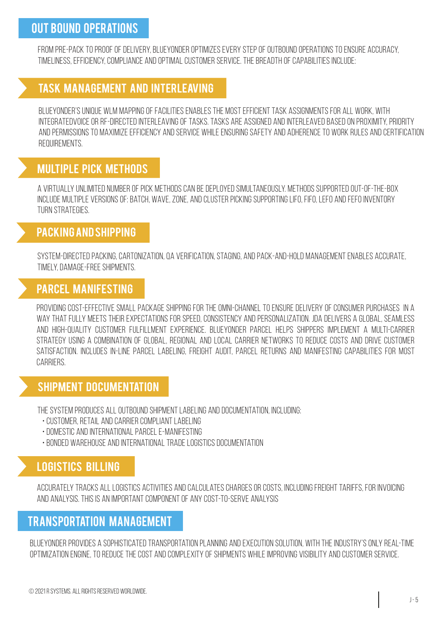## Out bound operations

From pre-pack toproof of delivery,BLUEYONDER optimizes every stepof outbound operations to ensure accuracy, timeliness, efficiency, compliance and optimal customer service. The breadthof capabilities include:

#### Task management and interleaving

BLUEYONDER's unique WLM mapping of facilities enables the most efficient task assignments for all work, with integratedvoice or RF-directedinterleaving of tasks. Tasks are assigned and interleaved based on proximity, priority andpermissions to maximize efficiency andservice while ensuring safety and adherence to work rules and certification requirements.

## Multiple pick methods

A VIRTUALLY UNLIMITED NUMBER OF PICK METHODS CAN BE DEPLOYED SIMULTANEOUSLY. METHODS SUPPORTED OUT-OF-THE-BOX include multiple versions of:batch, wave, zone, and cluster picking supporting LIFO, FIFO, LEFO and FEFO inventory turnstrategies.

#### Packing and shipping

System-directed packing, cartonization, QA verification, staging, and pack-and-hold management enables accurate, timely, damage-free shipments.

#### Parcel manifesting

Providing cost-effective small package shipping for the omni-channel to ensure delivery of consumer purchases in A way that fully meets their expectations for speed, consistency and personalization. JDA delivers a global, seamless and high-quality customer fulfillment experience. BLUEYONDER Parcel helps shippers implement a multi-carrier strategy using a combination of global, regional and local carrier networks to reduce costs and drive customer satisfaction. Includes in-line parcel labeling, Freight Audit, Parcel Returns and manifesting capabilities for most carriers.

#### Shipment documentation

THE SYSTEM PRODUCES ALL OUTBOUND SHIPMENT LABELING AND DOCUMENTATION, INCLUDING:

- CUSTOMER, RETAIL AND CARRIER COMPLIANT LABELING
- Domestic and international parcel e-manifesting
- •Bonded warehouse and international trade logistics documentation

## Logistics billing

ACCURATELY TRACKS ALL LOGISTICS ACTIVITIES AND CALCULATES CHARGES OR COSTS, INCLUDING FREIGHT TARIFFS, FOR INVOICING and analysis. This is an important componentof any cost-to-serve analysis

## Transportation management

BLUEYONDER PROVIDES A SOPHISTICATED TRANSPORTATION PLANNING AND EXECUTION SOLUTION, WITH THE INDUSTRY'S ONLY REAL-TIME optimization engine, toreduce the cost andcomplexity of shipments while improving visibility and customerservice.